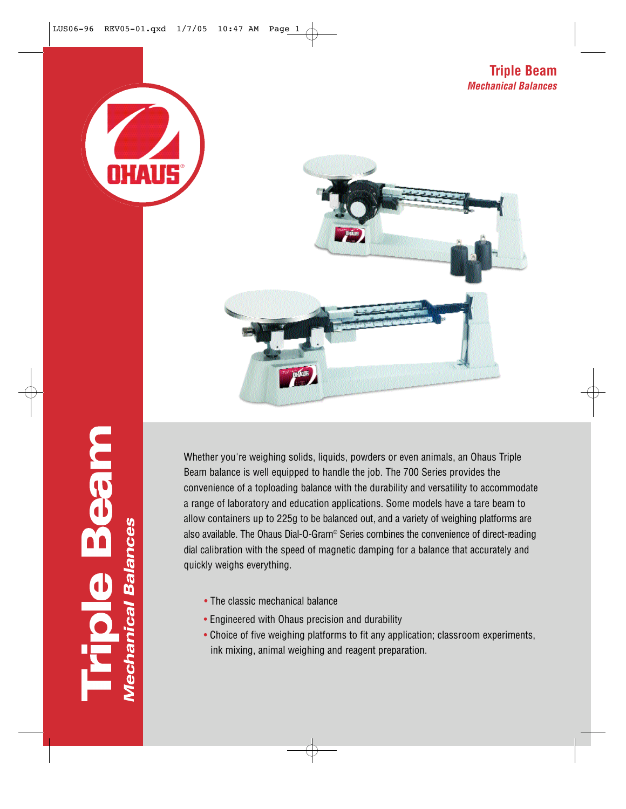



**Mechanical Balances** 

Whether you're weighing solids, liquids, powders or even animals, an Ohaus Triple Beam balance is well equipped to handle the job. The 700 Series provides the convenience of a toploading balance with the durability and versatility to accommodate a range of laboratory and education applications. Some models have a tare beam to allow containers up to 225g to be balanced out, and a variety of weighing platforms are also available. The Ohaus Dial-O-Gram® Series combines the convenience of direct-reading dial calibration with the speed of magnetic damping for a balance that accurately and quickly weighs everything.

- The classic mechanical balance
- Engineered with Ohaus precision and durability
- Choice of five weighing platforms to fit any application; classroom experiments, ink mixing, animal weighing and reagent preparation.